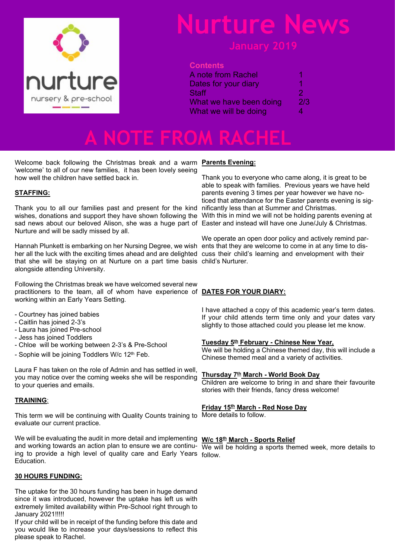

# **Nurture News**

## **Contents**

| A note from Rachel      | 1   |
|-------------------------|-----|
| Dates for your diary    | 1   |
| Staff                   | 2   |
| What we have been doing | 2/3 |
| What we will be doing   | 4   |
|                         |     |

**A NOTE FROM RACHEL**

Welcome back following the Christmas break and a warm **Parents Evening:** 'welcome' to all of our new families, it has been lovely seeing how well the children have settled back in.

### **STAFFING:**

Thank you to all our families past and present for the kind nificantly less than at Summer and Christmas. wishes, donations and support they have shown following the With this in mind we will not be holding parents evening at sad news about our beloved Alison, she was a huge part of Easter and instead will have one June/July & Christmas. Nurture and will be sadly missed by all.

Hannah Plunkett is embarking on her Nursing Degree, we wish ents that they are welcome to come in at any time to disher all the luck with the exciting times ahead and are delighted cuss their child's learning and envelopment with their that she will be staying on at Nurture on a part time basis child's Nurturer. alongside attending University.

Following the Christmas break we have welcomed several new practitioners to the team, all of whom have experience of **DATES FOR YOUR DIARY:** working within an Early Years Setting.

- Courtney has joined babies
- Caitlin has joined 2-3's
- Laura has joined Pre-school
- Jess has joined Toddlers
- Chloe will be working between 2-3's & Pre-School
- Sophie will be joining Toddlers W/c 12<sup>th</sup> Feb.

Laura F has taken on the role of Admin and has settled in well, you may notice over the coming weeks she will be responding to your queries and emails.

### **TRAINING**:

This term we will be continuing with Quality Counts training to More details to follow. evaluate our current practice.

We will be evaluating the audit in more detail and implementing **W/c 18th March - Sports Relief** and working towards an action plan to ensure we are continu-  $\sqrt{W}$ e will be holding a sports themed week, more details to ing to provide a high level of quality care and Early Years follow.Education.

### **30 HOURS FUNDING:**

The uptake for the 30 hours funding has been in huge demand since it was introduced, however the uptake has left us with extremely limited availability within Pre-School right through to January 2021!!!!!

If your child will be in receipt of the funding before this date and you would like to increase your days/sessions to reflect this please speak to Rachel.

Thank you to everyone who came along, it is great to be able to speak with families. Previous years we have held parents evening 3 times per year however we have noticed that attendance for the Easter parents evening is sig-

We operate an open door policy and actively remind par-

I have attached a copy of this academic year's term dates. If your child attends term time only and your dates vary slightly to those attached could you please let me know.

### **Tuesday 5th February - Chinese New Year,**

We will be holding a Chinese themed day, this will include a Chinese themed meal and a variety of activities.

### **Thursday 7th March - World Book Day**

Children are welcome to bring in and share their favourite stories with their friends, fancy dress welcome!

### **Friday 15th March - Red Nose Day**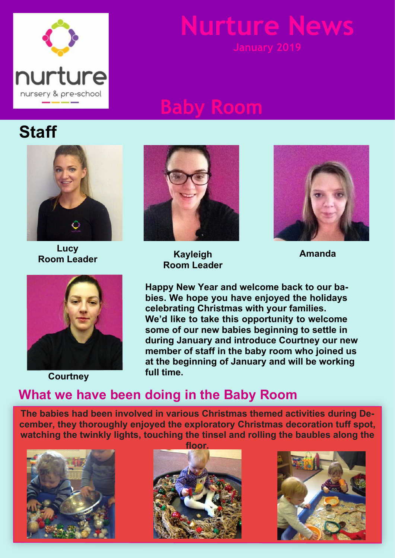

# **Nurture News**

# **Baby Room**





**Lucy**



**full time. Courtney**



**Room Leader Amanda Kayleigh Room Leader**



**Happy New Year and welcome back to our babies. We hope you have enjoyed the holidays celebrating Christmas with your families. We'd like to take this opportunity to welcome some of our new babies beginning to settle in during January and introduce Courtney our new member of staff in the baby room who joined us at the beginning of January and will be working**

## **What we have been doing in the Baby Room**

**The babies had been involved in various Christmas themed activities during December, they thoroughly enjoyed the exploratory Christmas decoration tuff spot, watching the twinkly lights, touching the tinsel and rolling the baubles along the**





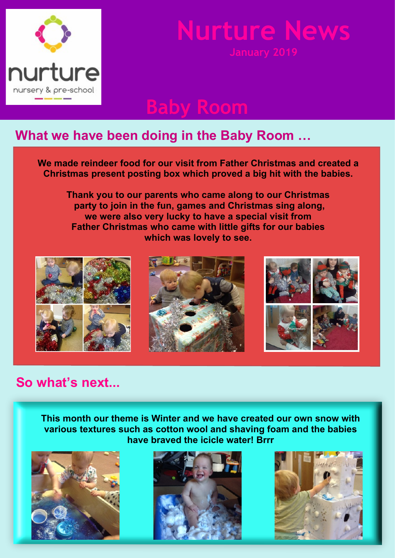

# **Nurture News**

# **Baby Room**

## **What we have been doing in the Baby Room …**

**We made reindeer food for our visit from Father Christmas and created a Christmas present posting box which proved a big hit with the babies.**

**Thank you to our parents who came along to our Christmas party to join in the fun, games and Christmas sing along, we were also very lucky to have a special visit from Father Christmas who came with little gifts for our babies which was lovely to see.**



## **So what's next...**

**This month our theme is Winter and we have created our own snow with various textures such as cotton wool and shaving foam and the babies have braved the icicle water! Brrr**